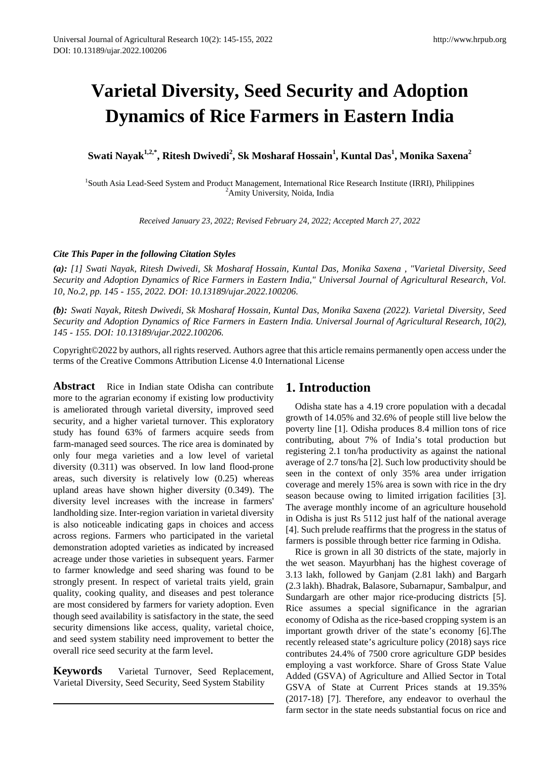# **Varietal Diversity, Seed Security and Adoption Dynamics of Rice Farmers in Eastern India**

 $\boldsymbol{\mathrm{Swati\;Nayak}}^{1,2,*},$  Ritesh Dwivedi $^2$ , Sk Mosharaf Hossain $^1$ , Kuntal Das $^1$ , Monika Saxena $^2$ 

<sup>1</sup>South Asia Lead-Seed System and Product Management, International Rice Research Institute (IRRI), Philippines  $\frac{2A}{I}$  mity University Noide, India <sup>2</sup>Amity University, Noida, India

*Received January 23, 2022; Revised February 24, 2022; Accepted March 27, 2022*

## *Cite This Paper in the following Citation Styles*

*(a): [1] Swati Nayak, Ritesh Dwivedi, Sk Mosharaf Hossain, Kuntal Das, Monika Saxena , "Varietal Diversity, Seed Security and Adoption Dynamics of Rice Farmers in Eastern India," Universal Journal of Agricultural Research, Vol. 10, No.2, pp. 145 - 155, 2022. DOI: 10.13189/ujar.2022.100206.* 

*(b): Swati Nayak, Ritesh Dwivedi, Sk Mosharaf Hossain, Kuntal Das, Monika Saxena (2022). Varietal Diversity, Seed Security and Adoption Dynamics of Rice Farmers in Eastern India. Universal Journal of Agricultural Research, 10(2), 145 - 155. DOI: 10.13189/ujar.2022.100206.* 

Copyright©2022 by authors, all rights reserved. Authors agree that this article remains permanently open access under the terms of the Creative Commons Attribution License 4.0 International License

Abstract Rice in Indian state Odisha can contribute more to the agrarian economy if existing low productivity is ameliorated through varietal diversity, improved seed security, and a higher varietal turnover. This exploratory study has found 63% of farmers acquire seeds from farm-managed seed sources. The rice area is dominated by only four mega varieties and a low level of varietal diversity (0.311) was observed. In low land flood-prone areas, such diversity is relatively low (0.25) whereas upland areas have shown higher diversity (0.349). The diversity level increases with the increase in farmers' landholding size. Inter-region variation in varietal diversity is also noticeable indicating gaps in choices and access across regions. Farmers who participated in the varietal demonstration adopted varieties as indicated by increased acreage under those varieties in subsequent years. Farmer to farmer knowledge and seed sharing was found to be strongly present. In respect of varietal traits yield, grain quality, cooking quality, and diseases and pest tolerance are most considered by farmers for variety adoption. Even though seed availability is satisfactory in the state, the seed security dimensions like access, quality, varietal choice, and seed system stability need improvement to better the overall rice seed security at the farm level.

**Keywords** Varietal Turnover, Seed Replacement, Varietal Diversity, Seed Security, Seed System Stability

## **1. Introduction**

Odisha state has a 4.19 crore population with a decadal growth of 14.05% and 32.6% of people still live below the poverty line [1]. Odisha produces 8.4 million tons of rice contributing, about 7% of India's total production but registering 2.1 ton/ha productivity as against the national average of 2.7 tons/ha [2]. Such low productivity should be seen in the context of only 35% area under irrigation coverage and merely 15% area is sown with rice in the dry season because owing to limited irrigation facilities [3]. The average monthly income of an agriculture household in Odisha is just Rs 5112 just half of the national average [4]. Such prelude reaffirms that the progress in the status of farmers is possible through better rice farming in Odisha.

Rice is grown in all 30 districts of the state, majorly in the wet season. Mayurbhanj has the highest coverage of 3.13 lakh, followed by Ganjam (2.81 lakh) and Bargarh (2.3 lakh). Bhadrak, Balasore, Subarnapur, Sambalpur, and Sundargarh are other major rice-producing districts [5]. Rice assumes a special significance in the agrarian economy of Odisha as the rice-based cropping system is an important growth driver of the state's economy [6].The recently released state's agriculture policy (2018) says rice contributes 24.4% of 7500 crore agriculture GDP besides employing a vast workforce. Share of Gross State Value Added (GSVA) of Agriculture and Allied Sector in Total GSVA of State at Current Prices stands at 19.35% (2017-18) [7]. Therefore, any endeavor to overhaul the farm sector in the state needs substantial focus on rice and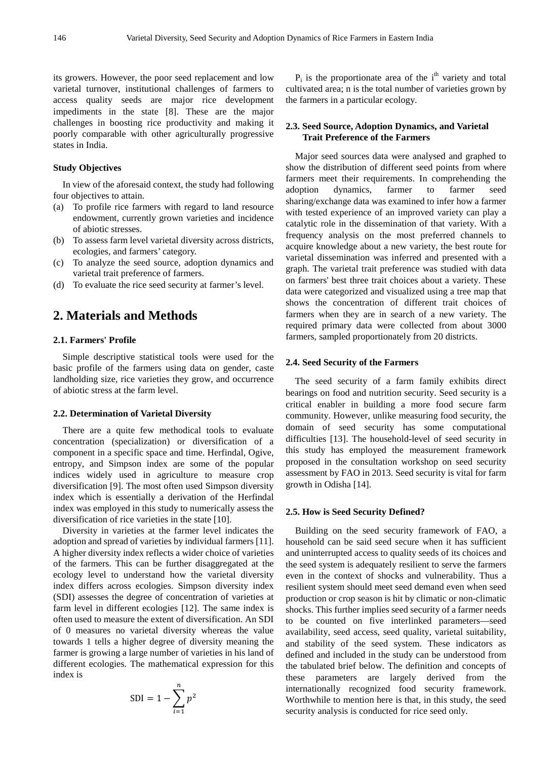its growers. However, the poor seed replacement and low varietal turnover, institutional challenges of farmers to access quality seeds are major rice development impediments in the state [8]. These are the major challenges in boosting rice productivity and making it poorly comparable with other agriculturally progressive states in India.

## **Study Objectives**

In view of the aforesaid context, the study had following four objectives to attain.

- (a) To profile rice farmers with regard to land resource endowment, currently grown varieties and incidence of abiotic stresses.
- (b) To assess farm level varietal diversity across districts, ecologies, and farmers' category.
- (c) To analyze the seed source, adoption dynamics and varietal trait preference of farmers.
- (d) To evaluate the rice seed security at farmer's level.

# **2. Materials and Methods**

## **2.1. Farmers' Profile**

Simple descriptive statistical tools were used for the basic profile of the farmers using data on gender, caste landholding size, rice varieties they grow, and occurrence of abiotic stress at the farm level.

#### **2.2. Determination of Varietal Diversity**

There are a quite few methodical tools to evaluate concentration (specialization) or diversification of a component in a specific space and time. Herfindal, Ogive, entropy, and Simpson index are some of the popular indices widely used in agriculture to measure crop diversification [9]. The most often used Simpson diversity index which is essentially a derivation of the Herfindal index was employed in this study to numerically assess the diversification of rice varieties in the state [10].

Diversity in varieties at the farmer level indicates the adoption and spread of varieties by individual farmers [11]. A higher diversity index reflects a wider choice of varieties of the farmers. This can be further disaggregated at the ecology level to understand how the varietal diversity index differs across ecologies. Simpson diversity index (SDI) assesses the degree of concentration of varieties at farm level in different ecologies [12]. The same index is often used to measure the extent of diversification. An SDI of 0 measures no varietal diversity whereas the value towards 1 tells a higher degree of diversity meaning the farmer is growing a large number of varieties in his land of different ecologies. The mathematical expression for this index is

$$
SDI = 1 - \sum_{i=1}^{n} p^2
$$

 $P_i$  is the proportionate area of the i<sup>th</sup> variety and total cultivated area; n is the total number of varieties grown by the farmers in a particular ecology.

## **2.3. Seed Source, Adoption Dynamics, and Varietal Trait Preference of the Farmers**

Major seed sources data were analysed and graphed to show the distribution of different seed points from where farmers meet their requirements. In comprehending the adoption dynamics, farmer to farmer seed sharing/exchange data was examined to infer how a farmer with tested experience of an improved variety can play a catalytic role in the dissemination of that variety. With a frequency analysis on the most preferred channels to acquire knowledge about a new variety, the best route for varietal dissemination was inferred and presented with a graph. The varietal trait preference was studied with data on farmers' best three trait choices about a variety. These data were categorized and visualized using a tree map that shows the concentration of different trait choices of farmers when they are in search of a new variety. The required primary data were collected from about 3000 farmers, sampled proportionately from 20 districts.

#### **2.4. Seed Security of the Farmers**

The seed security of a farm family exhibits direct bearings on food and nutrition security. Seed security is a critical enabler in building a more food secure farm community. However, unlike measuring food security, the domain of seed security has some computational difficulties [13]. The household-level of seed security in this study has employed the measurement framework proposed in the consultation workshop on seed security assessment by FAO in 2013. Seed security is vital for farm growth in Odisha [14].

## **2.5. How is Seed Security Defined?**

Building on the seed security framework of FAO, a household can be said seed secure when it has sufficient and uninterrupted access to quality seeds of its choices and the seed system is adequately resilient to serve the farmers even in the context of shocks and vulnerability. Thus a resilient system should meet seed demand even when seed production or crop season is hit by climatic or non-climatic shocks. This further implies seed security of a farmer needs to be counted on five interlinked parameters—seed availability, seed access, seed quality, varietal suitability, and stability of the seed system. These indicators as defined and included in the study can be understood from the tabulated brief below. The definition and concepts of these parameters are largely derived from the internationally recognized food security framework. Worthwhile to mention here is that, in this study, the seed security analysis is conducted for rice seed only.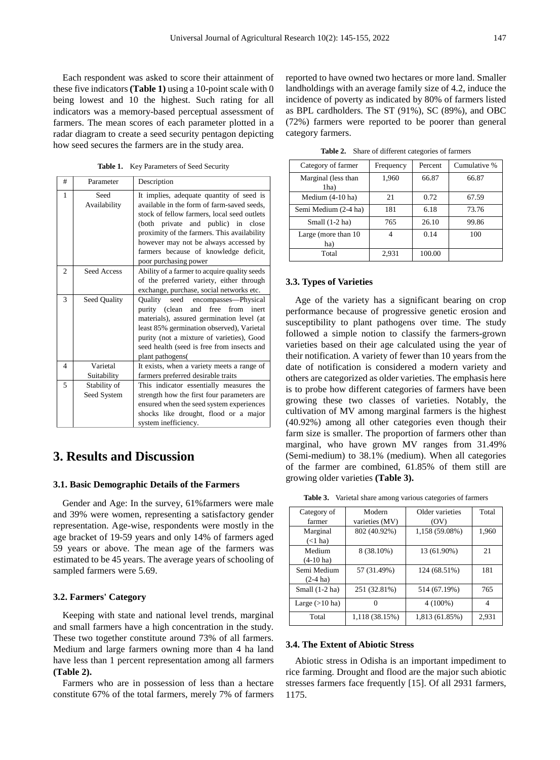Each respondent was asked to score their attainment of these five indicators **(Table 1)** using a 10-point scale with 0 being lowest and 10 the highest. Such rating for all indicators was a memory-based perceptual assessment of farmers. The mean scores of each parameter plotted in a radar diagram to create a seed security pentagon depicting how seed secures the farmers are in the study area.

Table 1. Key Parameters of Seed Security

| #              | Parameter                   | Description                                                                                                                                                                                                                                                                                                                           |
|----------------|-----------------------------|---------------------------------------------------------------------------------------------------------------------------------------------------------------------------------------------------------------------------------------------------------------------------------------------------------------------------------------|
| 1              | Seed<br>Availability        | It implies, adequate quantity of seed is<br>available in the form of farm-saved seeds,<br>stock of fellow farmers, local seed outlets<br>(both private and public) in close<br>proximity of the farmers. This availability<br>however may not be always accessed by<br>farmers because of knowledge deficit,<br>poor purchasing power |
| $\overline{c}$ | Seed Access                 | Ability of a farmer to acquire quality seeds<br>of the preferred variety, either through<br>exchange, purchase, social networks etc.                                                                                                                                                                                                  |
| $\mathbf{3}$   | Seed Quality                | seed encompasses—Physical<br>Quality<br>purity (clean and free from inert<br>materials), assured germination level (at<br>least 85% germination observed), Varietal<br>purity (not a mixture of varieties), Good<br>seed health (seed is free from insects and<br>plant pathogens(                                                    |
| 4              | Varietal<br>Suitability     | It exists, when a variety meets a range of<br>farmers preferred desirable traits                                                                                                                                                                                                                                                      |
| 5              | Stability of<br>Seed System | This indicator essentially measures the<br>strength how the first four parameters are<br>ensured when the seed system experiences<br>shocks like drought, flood or a major<br>system inefficiency.                                                                                                                                    |

# **3. Results and Discussion**

## **3.1. Basic Demographic Details of the Farmers**

Gender and Age: In the survey, 61%farmers were male and 39% were women, representing a satisfactory gender representation. Age-wise, respondents were mostly in the age bracket of 19-59 years and only 14% of farmers aged 59 years or above. The mean age of the farmers was estimated to be 45 years. The average years of schooling of sampled farmers were 5.69.

#### **3.2. Farmers' Category**

Keeping with state and national level trends, marginal and small farmers have a high concentration in the study. These two together constitute around 73% of all farmers. Medium and large farmers owning more than 4 ha land have less than 1 percent representation among all farmers **(Table 2).**

Farmers who are in possession of less than a hectare constitute 67% of the total farmers, merely 7% of farmers reported to have owned two hectares or more land. Smaller landholdings with an average family size of 4.2, induce the incidence of poverty as indicated by 80% of farmers listed as BPL cardholders. The ST (91%), SC (89%), and OBC (72%) farmers were reported to be poorer than general category farmers.

**Table 2.** Share of different categories of farmers

| Category of farmer          | Frequency | Percent | Cumulative % |
|-----------------------------|-----------|---------|--------------|
| Marginal (less than<br>1ha) | 1,960     | 66.87   | 66.87        |
| Medium $(4-10$ ha)          | 21        | 0.72    | 67.59        |
| Semi Medium (2-4 ha)        | 181       | 6.18    | 73.76        |
| Small $(1-2)$ ha)           | 765       | 26.10   | 99.86        |
| Large (more than 10)<br>ha) |           | 0.14    | 100          |
| Total                       | 2.931     | 100.00  |              |

## **3.3. Types of Varieties**

Age of the variety has a significant bearing on crop performance because of progressive genetic erosion and susceptibility to plant pathogens over time. The study followed a simple notion to classify the farmers-grown varieties based on their age calculated using the year of their notification. A variety of fewer than 10 years from the date of notification is considered a modern variety and others are categorized as older varieties. The emphasis here is to probe how different categories of farmers have been growing these two classes of varieties. Notably, the cultivation of MV among marginal farmers is the highest (40.92%) among all other categories even though their farm size is smaller. The proportion of farmers other than marginal, who have grown MV ranges from 31.49% (Semi-medium) to 38.1% (medium). When all categories of the farmer are combined, 61.85% of them still are growing older varieties **(Table 3).**

**Table 3.** Varietal share among various categories of farmers

| Category of      | Modern         | Older varieties | Total |
|------------------|----------------|-----------------|-------|
| farmer           | varieties (MV) | (OV)            |       |
| Marginal         | 802 (40.92%)   | 1,158 (59.08%)  | 1,960 |
| $(<1$ ha)        |                |                 |       |
| Medium           | 8 (38.10%)     | 13 (61.90%)     | 21    |
| $(4-10$ ha)      |                |                 |       |
| Semi Medium      | 57 (31.49%)    | 124 (68.51%)    | 181   |
| $(2-4)$ ha)      |                |                 |       |
| Small $(1-2$ ha) | 251 (32.81%)   | 514 (67.19%)    | 765   |
| Large $(>10$ ha) |                | $4(100\%)$      | 4     |
| Total            | 1,118 (38.15%) | 1,813 (61.85%)  | 2,931 |

#### **3.4. The Extent of Abiotic Stress**

Abiotic stress in Odisha is an important impediment to rice farming. Drought and flood are the major such abiotic stresses farmers face frequently [15]. Of all 2931 farmers, 1175.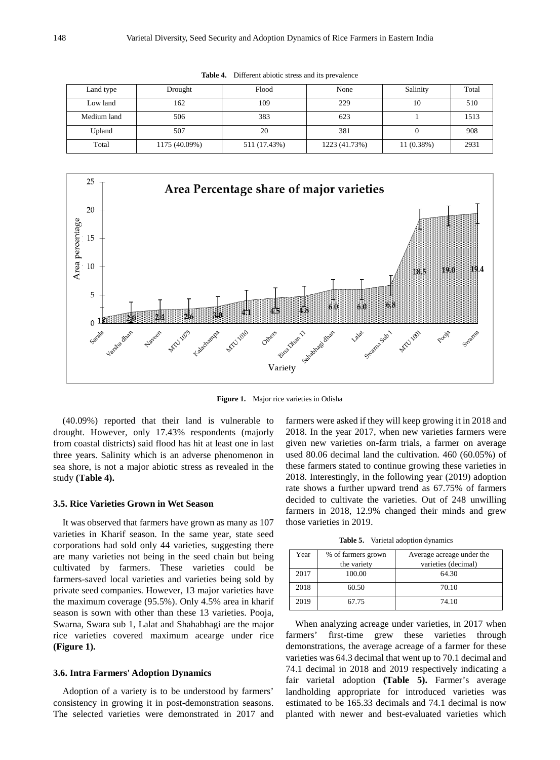| Land type       | Drought       | Flood        | None          | Salinity     | Total |
|-----------------|---------------|--------------|---------------|--------------|-------|
| 162<br>Low land |               | 109<br>229   |               | 10           | 510   |
| Medium land     | 506           | 383          | 623           |              | 1513  |
| Upland          | 507           | 20           | 381           |              | 908   |
| Total           | 1175 (40.09%) | 511 (17.43%) | 1223 (41.73%) | $11(0.38\%)$ | 2931  |

**Table 4.** Different abiotic stress and its prevalence



**Figure 1.** Major rice varieties in Odisha

(40.09%) reported that their land is vulnerable to drought. However, only 17.43% respondents (majorly from coastal districts) said flood has hit at least one in last three years. Salinity which is an adverse phenomenon in sea shore, is not a major abiotic stress as revealed in the study **(Table 4).**

#### **3.5. Rice Varieties Grown in Wet Season**

It was observed that farmers have grown as many as 107 varieties in Kharif season. In the same year, state seed corporations had sold only 44 varieties, suggesting there are many varieties not being in the seed chain but being cultivated by farmers. These varieties could be farmers-saved local varieties and varieties being sold by private seed companies. However, 13 major varieties have the maximum coverage (95.5%). Only 4.5% area in kharif season is sown with other than these 13 varieties. Pooja, Swarna, Swara sub 1, Lalat and Shahabhagi are the major rice varieties covered maximum acearge under rice **(Figure 1).**

#### **3.6. Intra Farmers' Adoption Dynamics**

Adoption of a variety is to be understood by farmers' consistency in growing it in post-demonstration seasons. The selected varieties were demonstrated in 2017 and farmers were asked if they will keep growing it in 2018 and 2018. In the year 2017, when new varieties farmers were given new varieties on-farm trials, a farmer on average used 80.06 decimal land the cultivation. 460 (60.05%) of these farmers stated to continue growing these varieties in 2018. Interestingly, in the following year (2019) adoption rate shows a further upward trend as 67.75% of farmers decided to cultivate the varieties. Out of 248 unwilling farmers in 2018, 12.9% changed their minds and grew those varieties in 2019.

**Table 5.** Varietal adoption dynamics

| Year | % of farmers grown<br>the variety | Average acreage under the<br>varieties (decimal) |
|------|-----------------------------------|--------------------------------------------------|
| 2017 | 100.00                            | 64.30                                            |
| 2018 | 60.50                             | 70.10                                            |
| 2019 | 67.75                             | 74.10                                            |

When analyzing acreage under varieties, in 2017 when farmers' first-time grew these varieties through demonstrations, the average acreage of a farmer for these varieties was 64.3 decimal that went up to 70.1 decimal and 74.1 decimal in 2018 and 2019 respectively indicating a fair varietal adoption **(Table 5).** Farmer's average landholding appropriate for introduced varieties was estimated to be 165.33 decimals and 74.1 decimal is now planted with newer and best-evaluated varieties which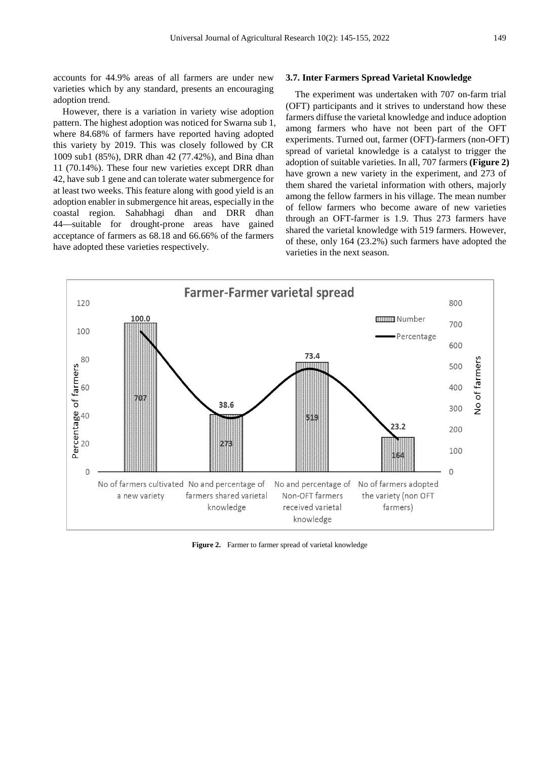accounts for 44.9% areas of all farmers are under new varieties which by any standard, presents an encouraging adoption trend.

However, there is a variation in variety wise adoption pattern. The highest adoption was noticed for Swarna sub 1, where 84.68% of farmers have reported having adopted this variety by 2019. This was closely followed by CR 1009 sub1 (85%), DRR dhan 42 (77.42%), and Bina dhan 11 (70.14%). These four new varieties except DRR dhan 42, have sub 1 gene and can tolerate water submergence for at least two weeks. This feature along with good yield is an adoption enabler in submergence hit areas, especially in the coastal region. Sahabhagi dhan and DRR dhan 44—suitable for drought-prone areas have gained acceptance of farmers as 68.18 and 66.66% of the farmers have adopted these varieties respectively.

#### **3.7. Inter Farmers Spread Varietal Knowledge**

The experiment was undertaken with 707 on-farm trial (OFT) participants and it strives to understand how these farmers diffuse the varietal knowledge and induce adoption among farmers who have not been part of the OFT experiments. Turned out, farmer (OFT)-farmers (non-OFT) spread of varietal knowledge is a catalyst to trigger the adoption of suitable varieties. In all, 707 farmers **(Figure 2)** have grown a new variety in the experiment, and 273 of them shared the varietal information with others, majorly among the fellow farmers in his village. The mean number of fellow farmers who become aware of new varieties through an OFT-farmer is 1.9. Thus 273 farmers have shared the varietal knowledge with 519 farmers. However, of these, only 164 (23.2%) such farmers have adopted the varieties in the next season.



**Figure 2.** Farmer to farmer spread of varietal knowledge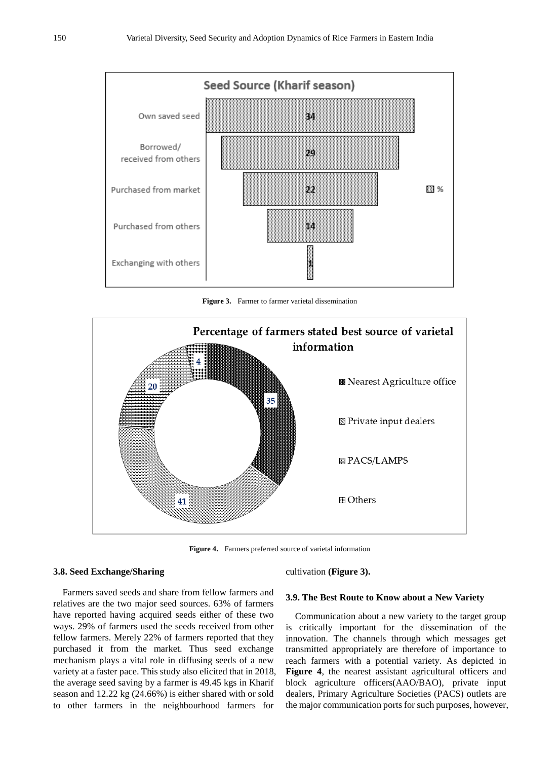

**Figure 3.** Farmer to farmer varietal dissemination



**Figure 4.** Farmers preferred source of varietal information

## **3.8. Seed Exchange/Sharing**

Farmers saved seeds and share from fellow farmers and relatives are the two major seed sources. 63% of farmers have reported having acquired seeds either of these two ways. 29% of farmers used the seeds received from other fellow farmers. Merely 22% of farmers reported that they purchased it from the market. Thus seed exchange mechanism plays a vital role in diffusing seeds of a new variety at a faster pace. This study also elicited that in 2018, the average seed saving by a farmer is 49.45 kgs in Kharif season and 12.22 kg (24.66%) is either shared with or sold to other farmers in the neighbourhood farmers for

## cultivation **(Figure 3).**

#### **3.9. The Best Route to Know about a New Variety**

Communication about a new variety to the target group is critically important for the dissemination of the innovation. The channels through which messages get transmitted appropriately are therefore of importance to reach farmers with a potential variety. As depicted in **Figure 4**, the nearest assistant agricultural officers and block agriculture officers(AAO/BAO), private input dealers, Primary Agriculture Societies (PACS) outlets are the major communication ports for such purposes, however,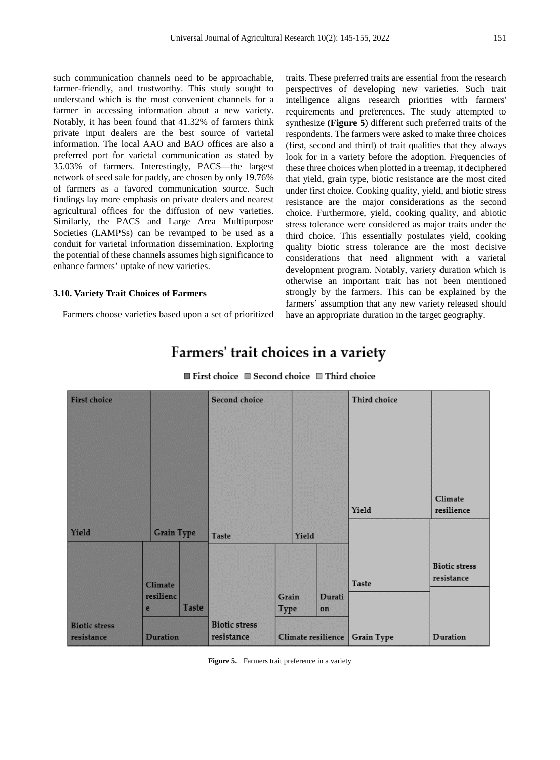such communication channels need to be approachable, farmer-friendly, and trustworthy. This study sought to understand which is the most convenient channels for a farmer in accessing information about a new variety. Notably, it has been found that 41.32% of farmers think private input dealers are the best source of varietal information. The local AAO and BAO offices are also a preferred port for varietal communication as stated by 35.03% of farmers. Interestingly, PACS—the largest network of seed sale for paddy, are chosen by only 19.76% of farmers as a favored communication source. Such findings lay more emphasis on private dealers and nearest agricultural offices for the diffusion of new varieties. Similarly, the PACS and Large Area Multipurpose Societies (LAMPSs) can be revamped to be used as a conduit for varietal information dissemination. Exploring the potential of these channels assumes high significance to enhance farmers' uptake of new varieties.

## **3.10. Variety Trait Choices of Farmers**

Farmers choose varieties based upon a set of prioritized

traits. These preferred traits are essential from the research perspectives of developing new varieties. Such trait intelligence aligns research priorities with farmers' requirements and preferences. The study attempted to synthesize **(Figure 5**) different such preferred traits of the respondents. The farmers were asked to make three choices (first, second and third) of trait qualities that they always look for in a variety before the adoption. Frequencies of these three choices when plotted in a treemap, it deciphered that yield, grain type, biotic resistance are the most cited under first choice. Cooking quality, yield, and biotic stress resistance are the major considerations as the second choice. Furthermore, yield, cooking quality, and abiotic stress tolerance were considered as major traits under the third choice. This essentially postulates yield, cooking quality biotic stress tolerance are the most decisive considerations that need alignment with a varietal development program. Notably, variety duration which is otherwise an important trait has not been mentioned strongly by the farmers. This can be explained by the farmers' assumption that any new variety released should have an appropriate duration in the target geography.

# Farmers' trait choices in a variety

| <b>First choice</b>                |                   |              | Second choice                      |               |       |                    | Third choice      |                                    |
|------------------------------------|-------------------|--------------|------------------------------------|---------------|-------|--------------------|-------------------|------------------------------------|
|                                    |                   |              |                                    |               |       |                    | Yield             | Climate<br>resilience              |
| Yield                              | <b>Grain Type</b> |              | <b>Taste</b>                       |               | Yield |                    |                   |                                    |
|                                    | Climate           |              |                                    |               |       |                    | <b>Taste</b>      | <b>Biotic stress</b><br>resistance |
|                                    | resilienc<br>e    | <b>Taste</b> |                                    | Grain<br>Type |       | Durati<br>on       |                   |                                    |
| <b>Biotic stress</b><br>resistance | <b>Duration</b>   |              | <b>Biotic stress</b><br>resistance |               |       | Climate resilience | <b>Grain Type</b> | Duration                           |

 $\blacksquare$  First choice  $\blacksquare$  Second choice  $\blacksquare$  Third choice

Figure 5. Farmers trait preference in a variety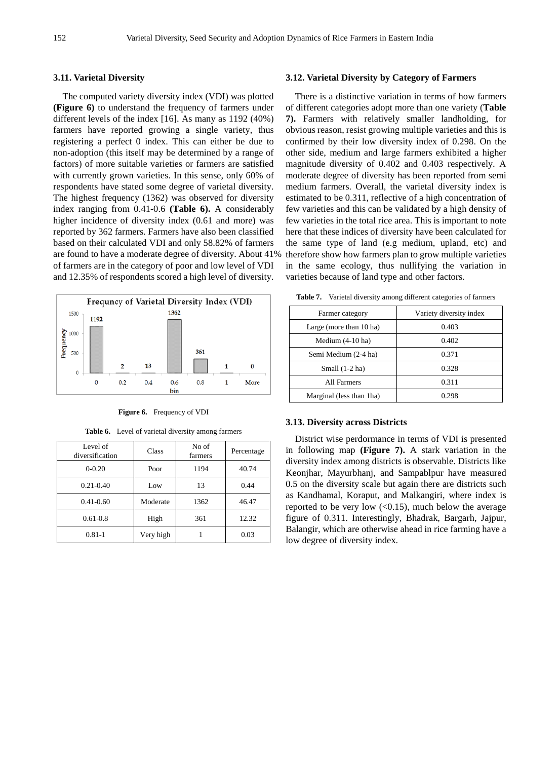## **3.11. Varietal Diversity**

The computed variety diversity index (VDI) was plotted **(Figure 6)** to understand the frequency of farmers under different levels of the index [16]. As many as 1192 (40%) farmers have reported growing a single variety, thus registering a perfect 0 index. This can either be due to non-adoption (this itself may be determined by a range of factors) of more suitable varieties or farmers are satisfied with currently grown varieties. In this sense, only 60% of respondents have stated some degree of varietal diversity. The highest frequency (1362) was observed for diversity index ranging from 0.41-0.6 **(Table 6).** A considerably higher incidence of diversity index  $(0.61$  and more) was reported by 362 farmers. Farmers have also been classified based on their calculated VDI and only 58.82% of farmers are found to have a moderate degree of diversity. About 41% of farmers are in the category of poor and low level of VDI and 12.35% of respondents scored a high level of diversity.



**Figure 6.** Frequency of VDI

| <b>Table 6.</b> Level of varietal diversity among farmers |  |
|-----------------------------------------------------------|--|
|-----------------------------------------------------------|--|

| Level of<br>diversification | <b>Class</b> | No of<br>farmers | Percentage |
|-----------------------------|--------------|------------------|------------|
| $0 - 0.20$                  | Poor         | 1194             | 40.74      |
| $0.21 - 0.40$               | Low          | 13               | 0.44       |
| $0.41 - 0.60$               | Moderate     | 1362             | 46.47      |
| $0.61 - 0.8$                | High         | 361              | 12.32      |
| $0.81 - 1$                  | Very high    |                  | 0.03       |

#### **3.12. Varietal Diversity by Category of Farmers**

There is a distinctive variation in terms of how farmers of different categories adopt more than one variety (**Table 7).** Farmers with relatively smaller landholding, for obvious reason, resist growing multiple varieties and this is confirmed by their low diversity index of 0.298. On the other side, medium and large farmers exhibited a higher magnitude diversity of 0.402 and 0.403 respectively. A moderate degree of diversity has been reported from semi medium farmers. Overall, the varietal diversity index is estimated to be 0.311, reflective of a high concentration of few varieties and this can be validated by a high density of few varieties in the total rice area. This is important to note here that these indices of diversity have been calculated for the same type of land (e.g medium, upland, etc) and therefore show how farmers plan to grow multiple varieties in the same ecology, thus nullifying the variation in varieties because of land type and other factors.

| Farmer category         | Variety diversity index |
|-------------------------|-------------------------|
| Large (more than 10 ha) | 0.403                   |
| Medium $(4-10$ ha)      |                         |

**Table 7.** Varietal diversity among different categories of farmers

| Farmer category           | Variety diversity index |
|---------------------------|-------------------------|
| Large (more than 10 ha)   | 0.403                   |
| Medium $(4-10$ ha)        | 0.402                   |
| Semi Medium (2-4 ha)      | 0.371                   |
| Small $(1-2$ ha)          | 0.328                   |
| All Farmers               | 0.311                   |
| Marginal (less than 1 ha) | 0.298                   |

#### **3.13. Diversity across Districts**

District wise perdormance in terms of VDI is presented in following map **(Figure 7).** A stark variation in the diversity index among districts is observable. Districts like Keonjhar, Mayurbhanj, and Sampablpur have measured 0.5 on the diversity scale but again there are districts such as Kandhamal, Koraput, and Malkangiri, where index is reported to be very low  $( $0.15$ ), much below the average$ figure of 0.311. Interestingly, Bhadrak, Bargarh, Jajpur, Balangir, which are otherwise ahead in rice farming have a low degree of diversity index.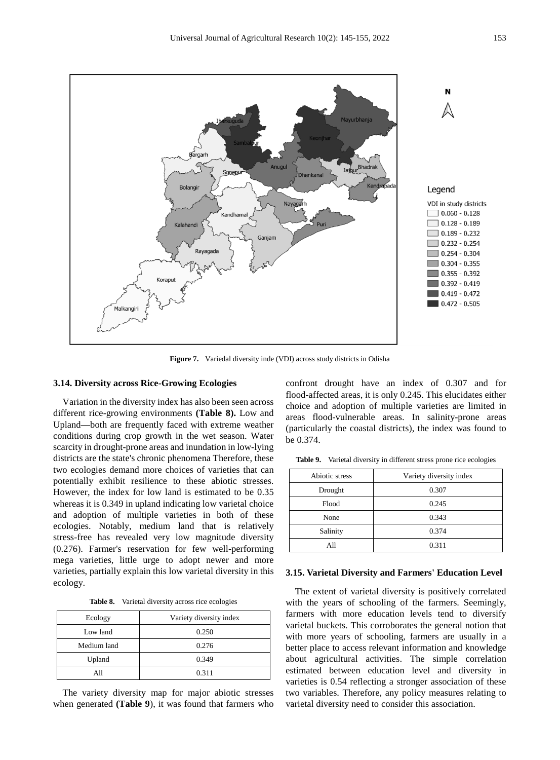

**Figure 7.** Variedal diversity inde (VDI) across study districts in Odisha

## **3.14. Diversity across Rice-Growing Ecologies**

Variation in the diversity index has also been seen across different rice-growing environments **(Table 8).** Low and Upland—both are frequently faced with extreme weather conditions during crop growth in the wet season. Water scarcity in drought-prone areas and inundation in low-lying districts are the state's chronic phenomena Therefore, these two ecologies demand more choices of varieties that can potentially exhibit resilience to these abiotic stresses. However, the index for low land is estimated to be 0.35 whereas it is  $0.349$  in upland indicating low varietal choice and adoption of multiple varieties in both of these ecologies. Notably, medium land that is relatively stress-free has revealed very low magnitude diversity (0.276). Farmer's reservation for few well-performing mega varieties, little urge to adopt newer and more varieties, partially explain this low varietal diversity in this ecology.

**Table 8.** Varietal diversity across rice ecologies

| Ecology     | Variety diversity index |
|-------------|-------------------------|
| Low land    | 0.250                   |
| Medium land | 0.276                   |
| Upland      | 0.349                   |
| All         | 0.311                   |

The variety diversity map for major abiotic stresses when generated **(Table 9**), it was found that farmers who confront drought have an index of 0.307 and for flood-affected areas, it is only 0.245. This elucidates either choice and adoption of multiple varieties are limited in areas flood-vulnerable areas. In salinity-prone areas (particularly the coastal districts), the index was found to be 0.374.

| Abiotic stress | Variety diversity index |
|----------------|-------------------------|
| Drought        | 0.307                   |
| Flood          | 0.245                   |
| None           | 0.343                   |
| Salinity       | 0.374                   |
| All            | 0.311                   |

Table 9. Varietal diversity in different stress prone rice ecologies

## **3.15. Varietal Diversity and Farmers' Education Level**

The extent of varietal diversity is positively correlated with the years of schooling of the farmers. Seemingly, farmers with more education levels tend to diversify varietal buckets. This corroborates the general notion that with more years of schooling, farmers are usually in a better place to access relevant information and knowledge about agricultural activities. The simple correlation estimated between education level and diversity in varieties is 0.54 reflecting a stronger association of these two variables. Therefore, any policy measures relating to varietal diversity need to consider this association.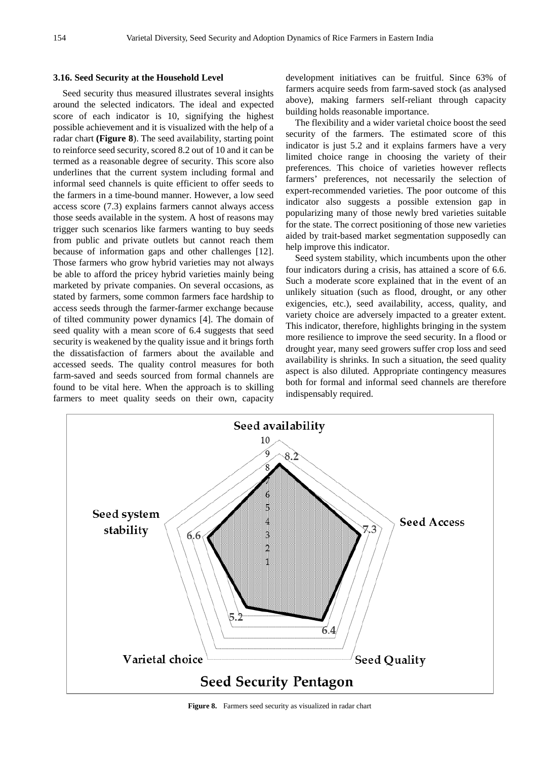## **3.16. Seed Security at the Household Level**

Seed security thus measured illustrates several insights around the selected indicators. The ideal and expected score of each indicator is 10, signifying the highest possible achievement and it is visualized with the help of a radar chart **(Figure 8**). The seed availability, starting point to reinforce seed security, scored 8.2 out of 10 and it can be termed as a reasonable degree of security. This score also underlines that the current system including formal and informal seed channels is quite efficient to offer seeds to the farmers in a time-bound manner. However, a low seed access score (7.3) explains farmers cannot always access those seeds available in the system. A host of reasons may trigger such scenarios like farmers wanting to buy seeds from public and private outlets but cannot reach them because of information gaps and other challenges [12]. Those farmers who grow hybrid varieties may not always be able to afford the pricey hybrid varieties mainly being marketed by private companies. On several occasions, as stated by farmers, some common farmers face hardship to access seeds through the farmer-farmer exchange because of tilted community power dynamics [4]. The domain of seed quality with a mean score of 6.4 suggests that seed security is weakened by the quality issue and it brings forth the dissatisfaction of farmers about the available and accessed seeds. The quality control measures for both farm-saved and seeds sourced from formal channels are found to be vital here. When the approach is to skilling farmers to meet quality seeds on their own, capacity

development initiatives can be fruitful. Since 63% of farmers acquire seeds from farm-saved stock (as analysed above), making farmers self-reliant through capacity building holds reasonable importance.

The flexibility and a wider varietal choice boost the seed security of the farmers. The estimated score of this indicator is just 5.2 and it explains farmers have a very limited choice range in choosing the variety of their preferences. This choice of varieties however reflects farmers' preferences, not necessarily the selection of expert-recommended varieties. The poor outcome of this indicator also suggests a possible extension gap in popularizing many of those newly bred varieties suitable for the state. The correct positioning of those new varieties aided by trait-based market segmentation supposedly can help improve this indicator.

Seed system stability, which incumbents upon the other four indicators during a crisis, has attained a score of 6.6. Such a moderate score explained that in the event of an unlikely situation (such as flood, drought, or any other exigencies, etc.), seed availability, access, quality, and variety choice are adversely impacted to a greater extent. This indicator, therefore, highlights bringing in the system more resilience to improve the seed security. In a flood or drought year, many seed growers suffer crop loss and seed availability is shrinks. In such a situation, the seed quality aspect is also diluted. Appropriate contingency measures both for formal and informal seed channels are therefore indispensably required.



**Figure 8.** Farmers seed security as visualized in radar chart